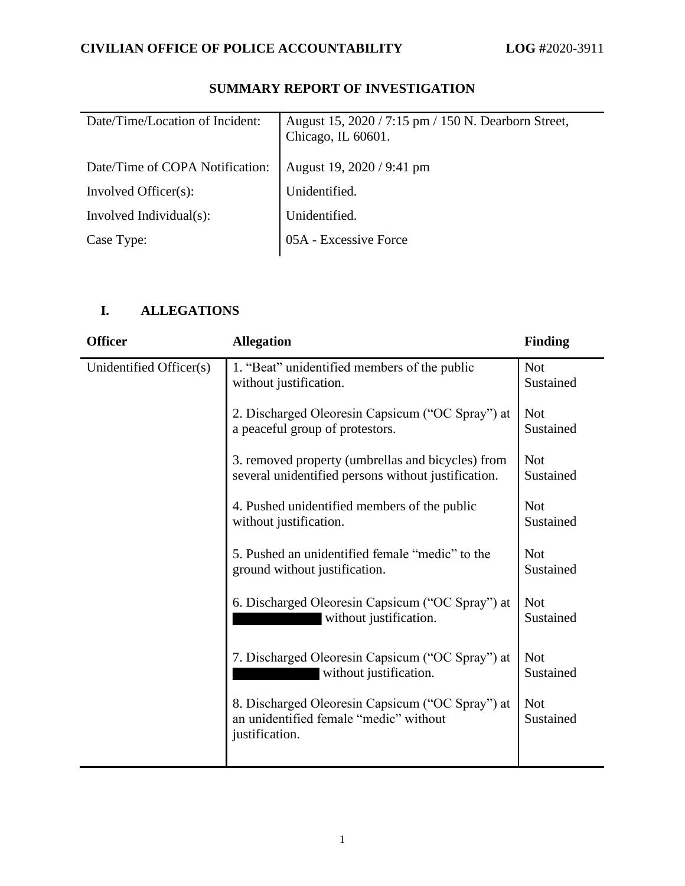| Date/Time/Location of Incident: | August 15, 2020 / 7:15 pm / 150 N. Dearborn Street,<br>Chicago, IL 60601. |
|---------------------------------|---------------------------------------------------------------------------|
| Date/Time of COPA Notification: | August 19, 2020 / 9:41 pm                                                 |
| Involved Officer(s):            | Unidentified.                                                             |
| Involved Individual(s):         | Unidentified.                                                             |
| Case Type:                      | 05A - Excessive Force                                                     |

# **SUMMARY REPORT OF INVESTIGATION**

## **I. ALLEGATIONS**

| <b>Officer</b>          | <b>Allegation</b>                                                                                            | <b>Finding</b>          |
|-------------------------|--------------------------------------------------------------------------------------------------------------|-------------------------|
| Unidentified Officer(s) | 1. "Beat" unidentified members of the public<br>without justification.                                       | <b>Not</b><br>Sustained |
|                         | 2. Discharged Oleoresin Capsicum ("OC Spray") at<br>a peaceful group of protestors.                          | <b>Not</b><br>Sustained |
|                         | 3. removed property (umbrellas and bicycles) from<br>several unidentified persons without justification.     | <b>Not</b><br>Sustained |
|                         | 4. Pushed unidentified members of the public<br>without justification.                                       | <b>Not</b><br>Sustained |
|                         | 5. Pushed an unidentified female "medic" to the<br>ground without justification.                             | <b>Not</b><br>Sustained |
|                         | 6. Discharged Oleoresin Capsicum ("OC Spray") at<br>without justification.                                   | <b>Not</b><br>Sustained |
|                         | 7. Discharged Oleoresin Capsicum ("OC Spray") at<br>without justification.                                   | <b>Not</b><br>Sustained |
|                         | 8. Discharged Oleoresin Capsicum ("OC Spray") at<br>an unidentified female "medic" without<br>justification. | <b>Not</b><br>Sustained |
|                         |                                                                                                              |                         |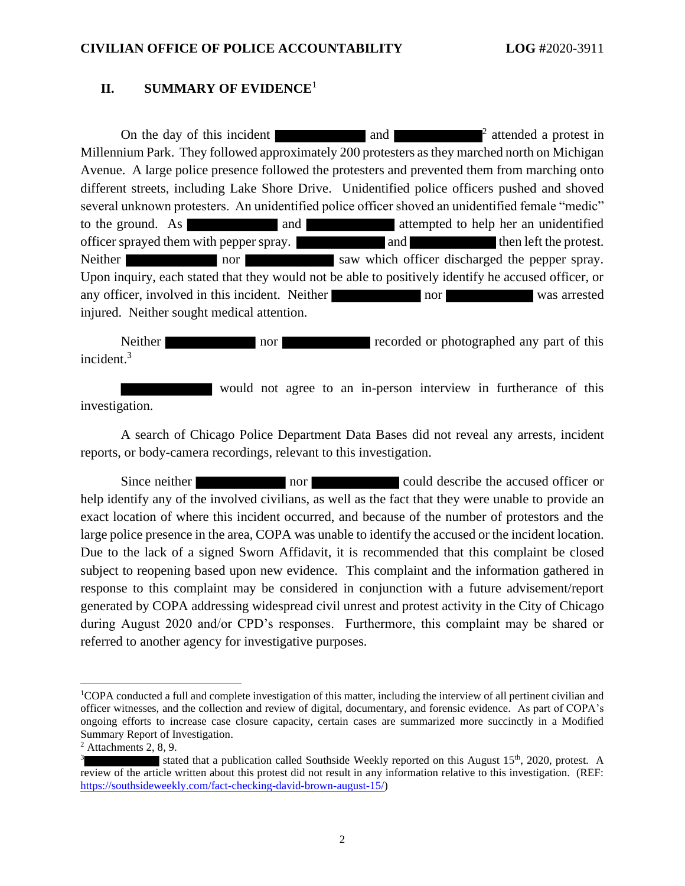### **II. SUMMARY OF EVIDENCE**<sup>1</sup>

On the day of this incident and  $\blacksquare$ <sup>2</sup> attended a protest in Millennium Park. They followed approximately 200 protesters as they marched north on Michigan Avenue. A large police presence followed the protesters and prevented them from marching onto different streets, including Lake Shore Drive. Unidentified police officers pushed and shoved several unknown protesters. An unidentified police officer shoved an unidentified female "medic" to the ground. As and and attempted to help her an unidentified officer sprayed them with pepper spray. and and then left the protest. Neither nor nor saw which officer discharged the pepper spray. Upon inquiry, each stated that they would not be able to positively identify he accused officer, or any officer, involved in this incident. Neither nor nor was arrested injured. Neither sought medical attention.

Neither nor nor recorded or photographed any part of this incident.<sup>3</sup>

 would not agree to an in-person interview in furtherance of this investigation.

A search of Chicago Police Department Data Bases did not reveal any arrests, incident reports, or body-camera recordings, relevant to this investigation.

Since neither nor could describe the accused officer or help identify any of the involved civilians, as well as the fact that they were unable to provide an exact location of where this incident occurred, and because of the number of protestors and the large police presence in the area, COPA was unable to identify the accused or the incident location. Due to the lack of a signed Sworn Affidavit, it is recommended that this complaint be closed subject to reopening based upon new evidence. This complaint and the information gathered in response to this complaint may be considered in conjunction with a future advisement/report generated by COPA addressing widespread civil unrest and protest activity in the City of Chicago during August 2020 and/or CPD's responses. Furthermore, this complaint may be shared or referred to another agency for investigative purposes.

<sup>1</sup>COPA conducted a full and complete investigation of this matter, including the interview of all pertinent civilian and officer witnesses, and the collection and review of digital, documentary, and forensic evidence. As part of COPA's ongoing efforts to increase case closure capacity, certain cases are summarized more succinctly in a Modified Summary Report of Investigation.

 $2$  Attachments 2, 8, 9.

<sup>3</sup> stated that a publication called Southside Weekly reported on this August  $15<sup>th</sup>$ , 2020, protest. A review of the article written about this protest did not result in any information relative to this investigation. (REF: [https://southsideweekly.com/fact-checking-david-brown-august-15/\)](https://southsideweekly.com/fact-checking-david-brown-august-15/)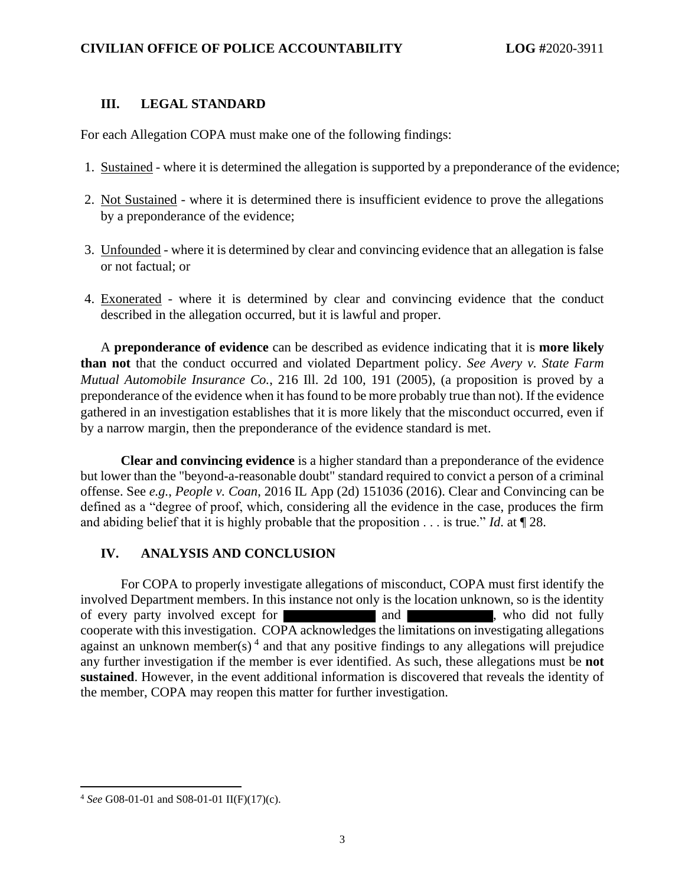#### **III. LEGAL STANDARD**

For each Allegation COPA must make one of the following findings:

- 1. Sustained where it is determined the allegation is supported by a preponderance of the evidence;
- 2. Not Sustained where it is determined there is insufficient evidence to prove the allegations by a preponderance of the evidence;
- 3. Unfounded where it is determined by clear and convincing evidence that an allegation is false or not factual; or
- 4. Exonerated where it is determined by clear and convincing evidence that the conduct described in the allegation occurred, but it is lawful and proper.

A **preponderance of evidence** can be described as evidence indicating that it is **more likely than not** that the conduct occurred and violated Department policy. *See Avery v. State Farm Mutual Automobile Insurance Co.*, 216 Ill. 2d 100, 191 (2005), (a proposition is proved by a preponderance of the evidence when it has found to be more probably true than not). If the evidence gathered in an investigation establishes that it is more likely that the misconduct occurred, even if by a narrow margin, then the preponderance of the evidence standard is met.

**Clear and convincing evidence** is a higher standard than a preponderance of the evidence but lower than the "beyond-a-reasonable doubt" standard required to convict a person of a criminal offense. See *e.g.*, *People v. Coan*, 2016 IL App (2d) 151036 (2016). Clear and Convincing can be defined as a "degree of proof, which, considering all the evidence in the case, produces the firm and abiding belief that it is highly probable that the proposition . . . is true." *Id*. at ¶ 28.

### **IV. ANALYSIS AND CONCLUSION**

For COPA to properly investigate allegations of misconduct, COPA must first identify the involved Department members. In this instance not only is the location unknown, so is the identity of every party involved except for of every party involved except for and and , who did not fully cooperate with this investigation. COPA acknowledges the limitations on investigating allegations against an unknown member(s)<sup>4</sup> and that any positive findings to any allegations will prejudice any further investigation if the member is ever identified. As such, these allegations must be **not sustained**. However, in the event additional information is discovered that reveals the identity of the member, COPA may reopen this matter for further investigation.

<sup>4</sup> *See* G08-01-01 and S08-01-01 II(F)(17)(c).